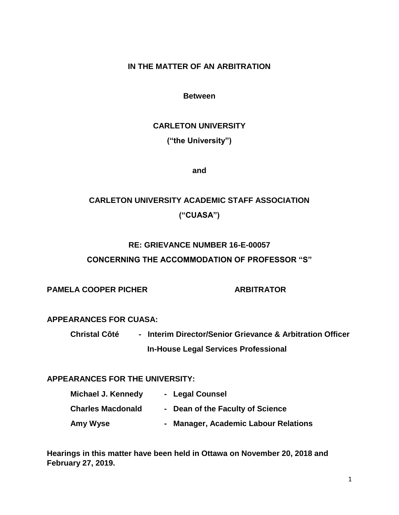### **IN THE MATTER OF AN ARBITRATION**

#### **Between**

# **CARLETON UNIVERSITY**

**("the University")**

**and**

# **CARLETON UNIVERSITY ACADEMIC STAFF ASSOCIATION ("CUASA")**

# **RE: GRIEVANCE NUMBER 16-E-00057**

# **CONCERNING THE ACCOMMODATION OF PROFESSOR "S"**

**PAMELA COOPER PICHER ARBITRATOR** 

# **APPEARANCES FOR CUASA:**

**Christal Côté - Interim Director/Senior Grievance & Arbitration Officer In-House Legal Services Professional**

# **APPEARANCES FOR THE UNIVERSITY:**

| Michael J. Kennedy       | - Legal Counsel                      |
|--------------------------|--------------------------------------|
| <b>Charles Macdonald</b> | - Dean of the Faculty of Science     |
| Amy Wyse                 | - Manager, Academic Labour Relations |

**Hearings in this matter have been held in Ottawa on November 20, 2018 and February 27, 2019.**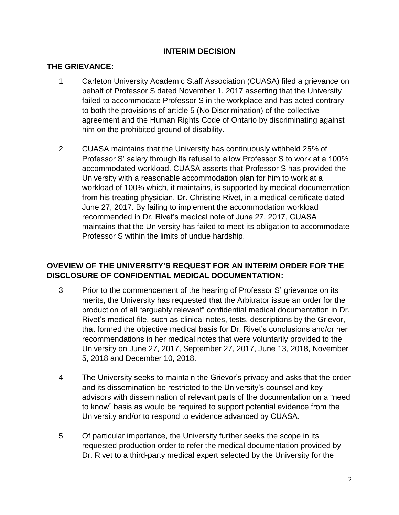# **INTERIM DECISION**

#### **THE GRIEVANCE:**

- 1 Carleton University Academic Staff Association (CUASA) filed a grievance on behalf of Professor S dated November 1, 2017 asserting that the University failed to accommodate Professor S in the workplace and has acted contrary to both the provisions of article 5 (No Discrimination) of the collective agreement and the Human Rights Code of Ontario by discriminating against him on the prohibited ground of disability.
- 2 CUASA maintains that the University has continuously withheld 25% of Professor S' salary through its refusal to allow Professor S to work at a 100% accommodated workload. CUASA asserts that Professor S has provided the University with a reasonable accommodation plan for him to work at a workload of 100% which, it maintains, is supported by medical documentation from his treating physician, Dr. Christine Rivet, in a medical certificate dated June 27, 2017. By failing to implement the accommodation workload recommended in Dr. Rivet's medical note of June 27, 2017, CUASA maintains that the University has failed to meet its obligation to accommodate Professor S within the limits of undue hardship.

# **OVEVIEW OF THE UNIVERSITY'S REQUEST FOR AN INTERIM ORDER FOR THE DISCLOSURE OF CONFIDENTIAL MEDICAL DOCUMENTATION:**

- 3 Prior to the commencement of the hearing of Professor S' grievance on its merits, the University has requested that the Arbitrator issue an order for the production of all "arguably relevant" confidential medical documentation in Dr. Rivet's medical file, such as clinical notes, tests, descriptions by the Grievor, that formed the objective medical basis for Dr. Rivet's conclusions and/or her recommendations in her medical notes that were voluntarily provided to the University on June 27, 2017, September 27, 2017, June 13, 2018, November 5, 2018 and December 10, 2018.
- 4 The University seeks to maintain the Grievor's privacy and asks that the order and its dissemination be restricted to the University's counsel and key advisors with dissemination of relevant parts of the documentation on a "need to know" basis as would be required to support potential evidence from the University and/or to respond to evidence advanced by CUASA.
- 5 Of particular importance, the University further seeks the scope in its requested production order to refer the medical documentation provided by Dr. Rivet to a third-party medical expert selected by the University for the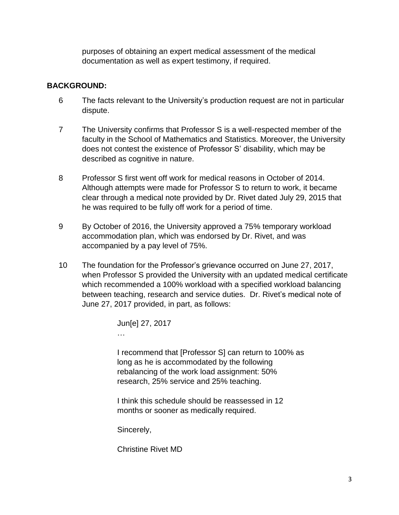purposes of obtaining an expert medical assessment of the medical documentation as well as expert testimony, if required.

# **BACKGROUND:**

- 6 The facts relevant to the University's production request are not in particular dispute.
- 7 The University confirms that Professor S is a well-respected member of the faculty in the School of Mathematics and Statistics. Moreover, the University does not contest the existence of Professor S' disability, which may be described as cognitive in nature.
- 8 Professor S first went off work for medical reasons in October of 2014. Although attempts were made for Professor S to return to work, it became clear through a medical note provided by Dr. Rivet dated July 29, 2015 that he was required to be fully off work for a period of time.
- 9 By October of 2016, the University approved a 75% temporary workload accommodation plan, which was endorsed by Dr. Rivet, and was accompanied by a pay level of 75%.
- 10 The foundation for the Professor's grievance occurred on June 27, 2017, when Professor S provided the University with an updated medical certificate which recommended a 100% workload with a specified workload balancing between teaching, research and service duties. Dr. Rivet's medical note of June 27, 2017 provided, in part, as follows:

| Jun[e] 27, 2017 |  |
|-----------------|--|
|                 |  |

I recommend that [Professor S] can return to 100% as long as he is accommodated by the following rebalancing of the work load assignment: 50% research, 25% service and 25% teaching.

I think this schedule should be reassessed in 12 months or sooner as medically required.

Sincerely,

Christine Rivet MD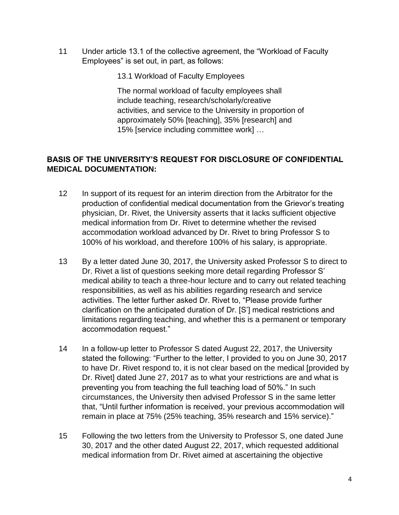11 Under article 13.1 of the collective agreement, the "Workload of Faculty Employees" is set out, in part, as follows:

13.1 Workload of Faculty Employees

The normal workload of faculty employees shall include teaching, research/scholarly/creative activities, and service to the University in proportion of approximately 50% [teaching], 35% [research] and 15% [service including committee work] …

# **BASIS OF THE UNIVERSITY'S REQUEST FOR DISCLOSURE OF CONFIDENTIAL MEDICAL DOCUMENTATION:**

- 12 In support of its request for an interim direction from the Arbitrator for the production of confidential medical documentation from the Grievor's treating physician, Dr. Rivet, the University asserts that it lacks sufficient objective medical information from Dr. Rivet to determine whether the revised accommodation workload advanced by Dr. Rivet to bring Professor S to 100% of his workload, and therefore 100% of his salary, is appropriate.
- 13 By a letter dated June 30, 2017, the University asked Professor S to direct to Dr. Rivet a list of questions seeking more detail regarding Professor S' medical ability to teach a three-hour lecture and to carry out related teaching responsibilities, as well as his abilities regarding research and service activities. The letter further asked Dr. Rivet to, "Please provide further clarification on the anticipated duration of Dr. [S'] medical restrictions and limitations regarding teaching, and whether this is a permanent or temporary accommodation request."
- 14 In a follow-up letter to Professor S dated August 22, 2017, the University stated the following: "Further to the letter, I provided to you on June 30, 2017 to have Dr. Rivet respond to, it is not clear based on the medical [provided by Dr. Rivet] dated June 27, 2017 as to what your restrictions are and what is preventing you from teaching the full teaching load of 50%." In such circumstances, the University then advised Professor S in the same letter that, "Until further information is received, your previous accommodation will remain in place at 75% (25% teaching, 35% research and 15% service)."
- 15 Following the two letters from the University to Professor S, one dated June 30, 2017 and the other dated August 22, 2017, which requested additional medical information from Dr. Rivet aimed at ascertaining the objective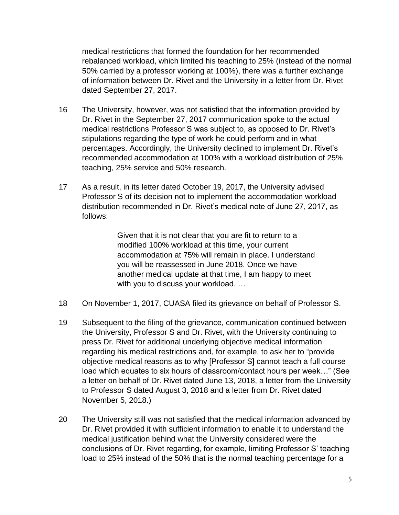medical restrictions that formed the foundation for her recommended rebalanced workload, which limited his teaching to 25% (instead of the normal 50% carried by a professor working at 100%), there was a further exchange of information between Dr. Rivet and the University in a letter from Dr. Rivet dated September 27, 2017.

- 16 The University, however, was not satisfied that the information provided by Dr. Rivet in the September 27, 2017 communication spoke to the actual medical restrictions Professor S was subject to, as opposed to Dr. Rivet's stipulations regarding the type of work he could perform and in what percentages. Accordingly, the University declined to implement Dr. Rivet's recommended accommodation at 100% with a workload distribution of 25% teaching, 25% service and 50% research.
- 17 As a result, in its letter dated October 19, 2017, the University advised Professor S of its decision not to implement the accommodation workload distribution recommended in Dr. Rivet's medical note of June 27, 2017, as follows:

Given that it is not clear that you are fit to return to a modified 100% workload at this time, your current accommodation at 75% will remain in place. I understand you will be reassessed in June 2018. Once we have another medical update at that time, I am happy to meet with you to discuss your workload. …

- 18 On November 1, 2017, CUASA filed its grievance on behalf of Professor S.
- 19 Subsequent to the filing of the grievance, communication continued between the University, Professor S and Dr. Rivet, with the University continuing to press Dr. Rivet for additional underlying objective medical information regarding his medical restrictions and, for example, to ask her to "provide objective medical reasons as to why [Professor S] cannot teach a full course load which equates to six hours of classroom/contact hours per week…" (See a letter on behalf of Dr. Rivet dated June 13, 2018, a letter from the University to Professor S dated August 3, 2018 and a letter from Dr. Rivet dated November 5, 2018.)
- 20 The University still was not satisfied that the medical information advanced by Dr. Rivet provided it with sufficient information to enable it to understand the medical justification behind what the University considered were the conclusions of Dr. Rivet regarding, for example, limiting Professor S' teaching load to 25% instead of the 50% that is the normal teaching percentage for a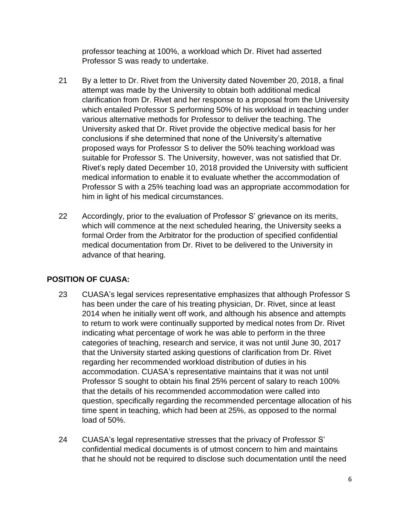professor teaching at 100%, a workload which Dr. Rivet had asserted Professor S was ready to undertake.

- 21 By a letter to Dr. Rivet from the University dated November 20, 2018, a final attempt was made by the University to obtain both additional medical clarification from Dr. Rivet and her response to a proposal from the University which entailed Professor S performing 50% of his workload in teaching under various alternative methods for Professor to deliver the teaching. The University asked that Dr. Rivet provide the objective medical basis for her conclusions if she determined that none of the University's alternative proposed ways for Professor S to deliver the 50% teaching workload was suitable for Professor S. The University, however, was not satisfied that Dr. Rivet's reply dated December 10, 2018 provided the University with sufficient medical information to enable it to evaluate whether the accommodation of Professor S with a 25% teaching load was an appropriate accommodation for him in light of his medical circumstances.
- 22 Accordingly, prior to the evaluation of Professor S' grievance on its merits, which will commence at the next scheduled hearing, the University seeks a formal Order from the Arbitrator for the production of specified confidential medical documentation from Dr. Rivet to be delivered to the University in advance of that hearing.

# **POSITION OF CUASA:**

- 23 CUASA's legal services representative emphasizes that although Professor S has been under the care of his treating physician, Dr. Rivet, since at least 2014 when he initially went off work, and although his absence and attempts to return to work were continually supported by medical notes from Dr. Rivet indicating what percentage of work he was able to perform in the three categories of teaching, research and service, it was not until June 30, 2017 that the University started asking questions of clarification from Dr. Rivet regarding her recommended workload distribution of duties in his accommodation. CUASA's representative maintains that it was not until Professor S sought to obtain his final 25% percent of salary to reach 100% that the details of his recommended accommodation were called into question, specifically regarding the recommended percentage allocation of his time spent in teaching, which had been at 25%, as opposed to the normal load of 50%.
- 24 CUASA's legal representative stresses that the privacy of Professor S' confidential medical documents is of utmost concern to him and maintains that he should not be required to disclose such documentation until the need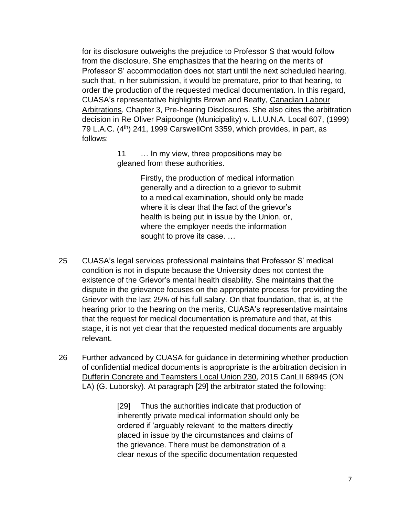for its disclosure outweighs the prejudice to Professor S that would follow from the disclosure. She emphasizes that the hearing on the merits of Professor S' accommodation does not start until the next scheduled hearing, such that, in her submission, it would be premature, prior to that hearing, to order the production of the requested medical documentation. In this regard, CUASA's representative highlights Brown and Beatty, Canadian Labour Arbitrations, Chapter 3, Pre-hearing Disclosures. She also cites the arbitration decision in Re Oliver Paipoonge (Municipality) v. L.I.U.N.A. Local 607, (1999) 79 L.A.C. (4<sup>th</sup>) 241, 1999 CarswellOnt 3359, which provides, in part, as follows:

> 11 … In my view, three propositions may be gleaned from these authorities.

> > Firstly, the production of medical information generally and a direction to a grievor to submit to a medical examination, should only be made where it is clear that the fact of the grievor's health is being put in issue by the Union, or, where the employer needs the information sought to prove its case. …

- 25 CUASA's legal services professional maintains that Professor S' medical condition is not in dispute because the University does not contest the existence of the Grievor's mental health disability. She maintains that the dispute in the grievance focuses on the appropriate process for providing the Grievor with the last 25% of his full salary. On that foundation, that is, at the hearing prior to the hearing on the merits, CUASA's representative maintains that the request for medical documentation is premature and that, at this stage, it is not yet clear that the requested medical documents are arguably relevant.
- 26 Further advanced by CUASA for guidance in determining whether production of confidential medical documents is appropriate is the arbitration decision in Dufferin Concrete and Teamsters Local Union 230, 2015 CanLII 68945 (ON LA) (G. Luborsky). At paragraph [29] the arbitrator stated the following:

[29] Thus the authorities indicate that production of inherently private medical information should only be ordered if 'arguably relevant' to the matters directly placed in issue by the circumstances and claims of the grievance. There must be demonstration of a clear nexus of the specific documentation requested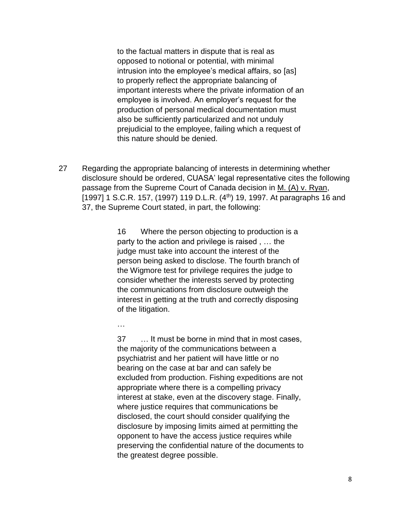to the factual matters in dispute that is real as opposed to notional or potential, with minimal intrusion into the employee's medical affairs, so [as] to properly reflect the appropriate balancing of important interests where the private information of an employee is involved. An employer's request for the production of personal medical documentation must also be sufficiently particularized and not unduly prejudicial to the employee, failing which a request of this nature should be denied.

27 Regarding the appropriate balancing of interests in determining whether disclosure should be ordered, CUASA' legal representative cites the following passage from the Supreme Court of Canada decision in M. (A) v. Ryan, [1997] 1 S.C.R. 157, (1997) 119 D.L.R.  $(4<sup>th</sup>)$  19, 1997. At paragraphs 16 and 37, the Supreme Court stated, in part, the following:

> 16 Where the person objecting to production is a party to the action and privilege is raised , … the judge must take into account the interest of the person being asked to disclose. The fourth branch of the Wigmore test for privilege requires the judge to consider whether the interests served by protecting the communications from disclosure outweigh the interest in getting at the truth and correctly disposing of the litigation.

man and the contract of the

37 … It must be borne in mind that in most cases, the majority of the communications between a psychiatrist and her patient will have little or no bearing on the case at bar and can safely be excluded from production. Fishing expeditions are not appropriate where there is a compelling privacy interest at stake, even at the discovery stage. Finally, where justice requires that communications be disclosed, the court should consider qualifying the disclosure by imposing limits aimed at permitting the opponent to have the access justice requires while preserving the confidential nature of the documents to the greatest degree possible.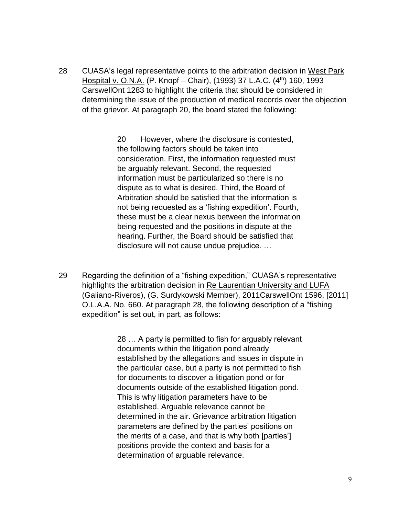28 CUASA's legal representative points to the arbitration decision in West Park Hospital v. O.N.A. (P. Knopf – Chair), (1993) 37 L.A.C. (4<sup>th</sup>) 160, 1993 CarswellOnt 1283 to highlight the criteria that should be considered in determining the issue of the production of medical records over the objection of the grievor. At paragraph 20, the board stated the following:

> 20 However, where the disclosure is contested, the following factors should be taken into consideration. First, the information requested must be arguably relevant. Second, the requested information must be particularized so there is no dispute as to what is desired. Third, the Board of Arbitration should be satisfied that the information is not being requested as a 'fishing expedition'. Fourth, these must be a clear nexus between the information being requested and the positions in dispute at the hearing. Further, the Board should be satisfied that disclosure will not cause undue prejudice. …

29 Regarding the definition of a "fishing expedition," CUASA's representative highlights the arbitration decision in Re Laurentian University and LUFA (Galiano-Riveros), (G. Surdykowski Member), 2011CarswellOnt 1596, [2011] O.L.A.A. No. 660. At paragraph 28, the following description of a "fishing expedition" is set out, in part, as follows:

> 28 … A party is permitted to fish for arguably relevant documents within the litigation pond already established by the allegations and issues in dispute in the particular case, but a party is not permitted to fish for documents to discover a litigation pond or for documents outside of the established litigation pond. This is why litigation parameters have to be established. Arguable relevance cannot be determined in the air. Grievance arbitration litigation parameters are defined by the parties' positions on the merits of a case, and that is why both [parties'] positions provide the context and basis for a determination of arguable relevance.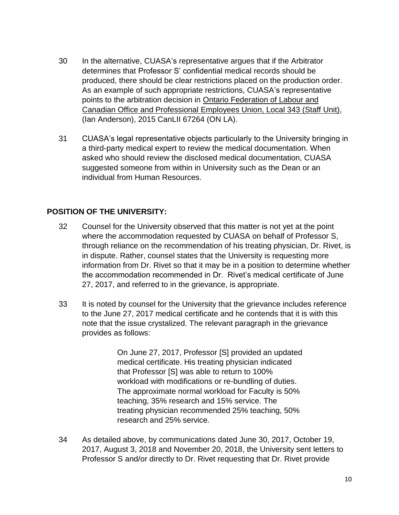- 30 In the alternative, CUASA's representative argues that if the Arbitrator determines that Professor S' confidential medical records should be produced, there should be clear restrictions placed on the production order. As an example of such appropriate restrictions, CUASA's representative points to the arbitration decision in Ontario Federation of Labour and Canadian Office and Professional Employees Union, Local 343 (Staff Unit), (Ian Anderson), 2015 CanLII 67264 (ON LA).
- 31 CUASA's legal representative objects particularly to the University bringing in a third-party medical expert to review the medical documentation. When asked who should review the disclosed medical documentation, CUASA suggested someone from within in University such as the Dean or an individual from Human Resources.

### **POSITION OF THE UNIVERSITY:**

- 32 Counsel for the University observed that this matter is not yet at the point where the accommodation requested by CUASA on behalf of Professor S, through reliance on the recommendation of his treating physician, Dr. Rivet, is in dispute. Rather, counsel states that the University is requesting more information from Dr. Rivet so that it may be in a position to determine whether the accommodation recommended in Dr. Rivet's medical certificate of June 27, 2017, and referred to in the grievance, is appropriate.
- 33 It is noted by counsel for the University that the grievance includes reference to the June 27, 2017 medical certificate and he contends that it is with this note that the issue crystalized. The relevant paragraph in the grievance provides as follows:

On June 27, 2017, Professor [S] provided an updated medical certificate. His treating physician indicated that Professor [S] was able to return to 100% workload with modifications or re-bundling of duties. The approximate normal workload for Faculty is 50% teaching, 35% research and 15% service. The treating physician recommended 25% teaching, 50% research and 25% service.

34 As detailed above, by communications dated June 30, 2017, October 19, 2017, August 3, 2018 and November 20, 2018, the University sent letters to Professor S and/or directly to Dr. Rivet requesting that Dr. Rivet provide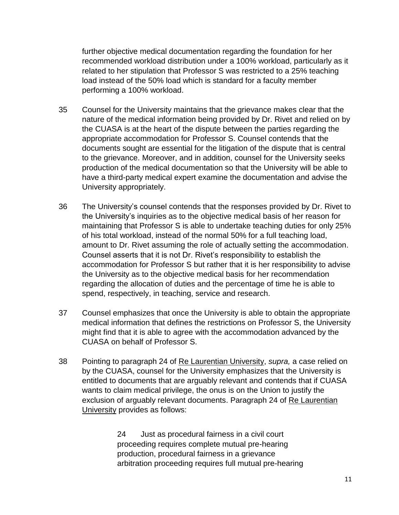further objective medical documentation regarding the foundation for her recommended workload distribution under a 100% workload, particularly as it related to her stipulation that Professor S was restricted to a 25% teaching load instead of the 50% load which is standard for a faculty member performing a 100% workload.

- 35 Counsel for the University maintains that the grievance makes clear that the nature of the medical information being provided by Dr. Rivet and relied on by the CUASA is at the heart of the dispute between the parties regarding the appropriate accommodation for Professor S. Counsel contends that the documents sought are essential for the litigation of the dispute that is central to the grievance. Moreover, and in addition, counsel for the University seeks production of the medical documentation so that the University will be able to have a third-party medical expert examine the documentation and advise the University appropriately.
- 36 The University's counsel contends that the responses provided by Dr. Rivet to the University's inquiries as to the objective medical basis of her reason for maintaining that Professor S is able to undertake teaching duties for only 25% of his total workload, instead of the normal 50% for a full teaching load, amount to Dr. Rivet assuming the role of actually setting the accommodation. Counsel asserts that it is not Dr. Rivet's responsibility to establish the accommodation for Professor S but rather that it is her responsibility to advise the University as to the objective medical basis for her recommendation regarding the allocation of duties and the percentage of time he is able to spend, respectively, in teaching, service and research.
- 37 Counsel emphasizes that once the University is able to obtain the appropriate medical information that defines the restrictions on Professor S, the University might find that it is able to agree with the accommodation advanced by the CUASA on behalf of Professor S.
- 38 Pointing to paragraph 24 of Re Laurentian University, *supra,* a case relied on by the CUASA, counsel for the University emphasizes that the University is entitled to documents that are arguably relevant and contends that if CUASA wants to claim medical privilege, the onus is on the Union to justify the exclusion of arguably relevant documents. Paragraph 24 of Re Laurentian University provides as follows:

24 Just as procedural fairness in a civil court proceeding requires complete mutual pre-hearing production, procedural fairness in a grievance arbitration proceeding requires full mutual pre-hearing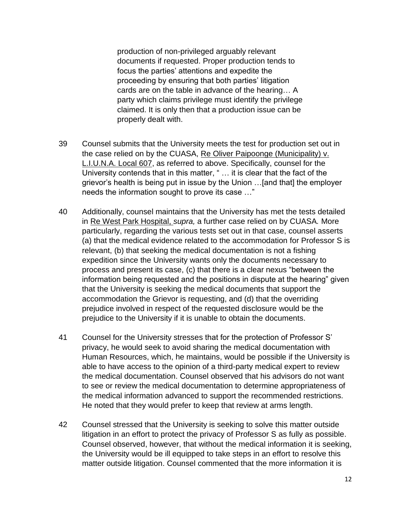production of non-privileged arguably relevant documents if requested. Proper production tends to focus the parties' attentions and expedite the proceeding by ensuring that both parties' litigation cards are on the table in advance of the hearing… A party which claims privilege must identify the privilege claimed. It is only then that a production issue can be properly dealt with.

- 39 Counsel submits that the University meets the test for production set out in the case relied on by the CUASA, Re Oliver Paipoonge (Municipality) v. L.I.U.N.A. Local 607, as referred to above. Specifically, counsel for the University contends that in this matter, " … it is clear that the fact of the grievor's health is being put in issue by the Union …[and that] the employer needs the information sought to prove its case …"
- 40 Additionally, counsel maintains that the University has met the tests detailed in Re West Park Hospital, *supra,* a further case relied on by CUASA*.* More particularly, regarding the various tests set out in that case, counsel asserts (a) that the medical evidence related to the accommodation for Professor S is relevant, (b) that seeking the medical documentation is not a fishing expedition since the University wants only the documents necessary to process and present its case, (c) that there is a clear nexus "between the information being requested and the positions in dispute at the hearing" given that the University is seeking the medical documents that support the accommodation the Grievor is requesting, and (d) that the overriding prejudice involved in respect of the requested disclosure would be the prejudice to the University if it is unable to obtain the documents.
- 41 Counsel for the University stresses that for the protection of Professor S' privacy, he would seek to avoid sharing the medical documentation with Human Resources, which, he maintains, would be possible if the University is able to have access to the opinion of a third-party medical expert to review the medical documentation. Counsel observed that his advisors do not want to see or review the medical documentation to determine appropriateness of the medical information advanced to support the recommended restrictions. He noted that they would prefer to keep that review at arms length.
- 42 Counsel stressed that the University is seeking to solve this matter outside litigation in an effort to protect the privacy of Professor S as fully as possible. Counsel observed, however, that without the medical information it is seeking, the University would be ill equipped to take steps in an effort to resolve this matter outside litigation. Counsel commented that the more information it is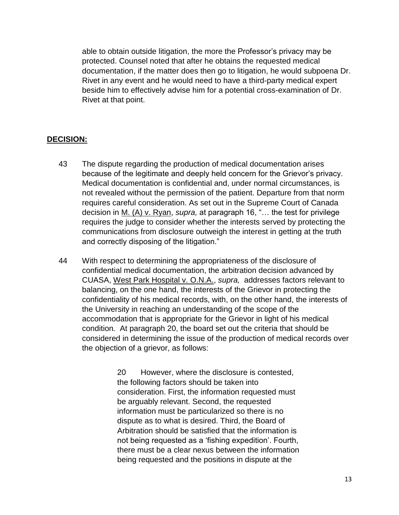able to obtain outside litigation, the more the Professor's privacy may be protected. Counsel noted that after he obtains the requested medical documentation, if the matter does then go to litigation, he would subpoena Dr. Rivet in any event and he would need to have a third-party medical expert beside him to effectively advise him for a potential cross-examination of Dr. Rivet at that point.

# **DECISION:**

- 43 The dispute regarding the production of medical documentation arises because of the legitimate and deeply held concern for the Grievor's privacy. Medical documentation is confidential and, under normal circumstances, is not revealed without the permission of the patient. Departure from that norm requires careful consideration. As set out in the Supreme Court of Canada decision in M. (A) v. Ryan, *supra,* at paragraph 16, "… the test for privilege requires the judge to consider whether the interests served by protecting the communications from disclosure outweigh the interest in getting at the truth and correctly disposing of the litigation."
- 44 With respect to determining the appropriateness of the disclosure of confidential medical documentation, the arbitration decision advanced by CUASA, West Park Hospital v. O.N.A., *supra,* addresses factors relevant to balancing, on the one hand, the interests of the Grievor in protecting the confidentiality of his medical records, with, on the other hand, the interests of the University in reaching an understanding of the scope of the accommodation that is appropriate for the Grievor in light of his medical condition*.* At paragraph 20, the board set out the criteria that should be considered in determining the issue of the production of medical records over the objection of a grievor, as follows:

20 However, where the disclosure is contested, the following factors should be taken into consideration. First, the information requested must be arguably relevant. Second, the requested information must be particularized so there is no dispute as to what is desired. Third, the Board of Arbitration should be satisfied that the information is not being requested as a 'fishing expedition'. Fourth, there must be a clear nexus between the information being requested and the positions in dispute at the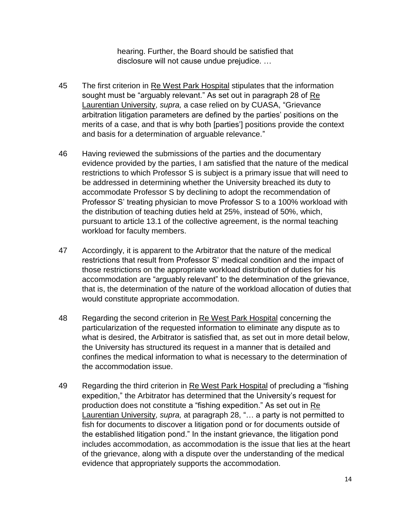hearing. Further, the Board should be satisfied that disclosure will not cause undue prejudice. …

- 45 The first criterion in Re West Park Hospital stipulates that the information sought must be "arguably relevant." As set out in paragraph 28 of Re Laurentian University, *supra,* a case relied on by CUASA, "Grievance arbitration litigation parameters are defined by the parties' positions on the merits of a case, and that is why both [parties'] positions provide the context and basis for a determination of arguable relevance."
- 46 Having reviewed the submissions of the parties and the documentary evidence provided by the parties, I am satisfied that the nature of the medical restrictions to which Professor S is subject is a primary issue that will need to be addressed in determining whether the University breached its duty to accommodate Professor S by declining to adopt the recommendation of Professor S' treating physician to move Professor S to a 100% workload with the distribution of teaching duties held at 25%, instead of 50%, which, pursuant to article 13.1 of the collective agreement, is the normal teaching workload for faculty members.
- 47 Accordingly, it is apparent to the Arbitrator that the nature of the medical restrictions that result from Professor S' medical condition and the impact of those restrictions on the appropriate workload distribution of duties for his accommodation are "arguably relevant" to the determination of the grievance, that is, the determination of the nature of the workload allocation of duties that would constitute appropriate accommodation.
- 48 Regarding the second criterion in Re West Park Hospital concerning the particularization of the requested information to eliminate any dispute as to what is desired, the Arbitrator is satisfied that, as set out in more detail below, the University has structured its request in a manner that is detailed and confines the medical information to what is necessary to the determination of the accommodation issue.
- 49 Regarding the third criterion in Re West Park Hospital of precluding a "fishing expedition," the Arbitrator has determined that the University's request for production does not constitute a "fishing expedition." As set out in Re Laurentian University, *supra,* at paragraph 28, "… a party is not permitted to fish for documents to discover a litigation pond or for documents outside of the established litigation pond." In the instant grievance, the litigation pond includes accommodation, as accommodation is the issue that lies at the heart of the grievance, along with a dispute over the understanding of the medical evidence that appropriately supports the accommodation.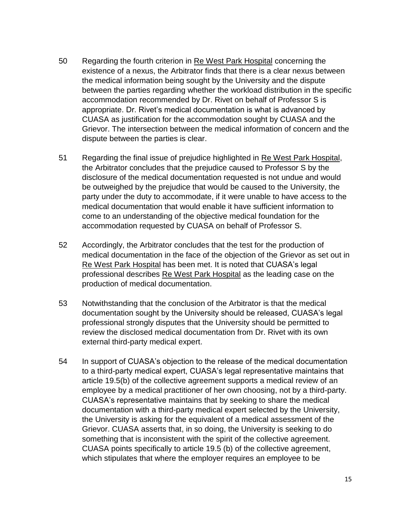- 50 Regarding the fourth criterion in Re West Park Hospital concerning the existence of a nexus, the Arbitrator finds that there is a clear nexus between the medical information being sought by the University and the dispute between the parties regarding whether the workload distribution in the specific accommodation recommended by Dr. Rivet on behalf of Professor S is appropriate. Dr. Rivet's medical documentation is what is advanced by CUASA as justification for the accommodation sought by CUASA and the Grievor. The intersection between the medical information of concern and the dispute between the parties is clear.
- 51 Regarding the final issue of prejudice highlighted in Re West Park Hospital, the Arbitrator concludes that the prejudice caused to Professor S by the disclosure of the medical documentation requested is not undue and would be outweighed by the prejudice that would be caused to the University, the party under the duty to accommodate, if it were unable to have access to the medical documentation that would enable it have sufficient information to come to an understanding of the objective medical foundation for the accommodation requested by CUASA on behalf of Professor S.
- 52 Accordingly, the Arbitrator concludes that the test for the production of medical documentation in the face of the objection of the Grievor as set out in Re West Park Hospital has been met. It is noted that CUASA's legal professional describes Re West Park Hospital as the leading case on the production of medical documentation.
- 53 Notwithstanding that the conclusion of the Arbitrator is that the medical documentation sought by the University should be released, CUASA's legal professional strongly disputes that the University should be permitted to review the disclosed medical documentation from Dr. Rivet with its own external third-party medical expert.
- 54 In support of CUASA's objection to the release of the medical documentation to a third-party medical expert, CUASA's legal representative maintains that article 19.5(b) of the collective agreement supports a medical review of an employee by a medical practitioner of her own choosing, not by a third-party. CUASA's representative maintains that by seeking to share the medical documentation with a third-party medical expert selected by the University, the University is asking for the equivalent of a medical assessment of the Grievor. CUASA asserts that, in so doing, the University is seeking to do something that is inconsistent with the spirit of the collective agreement. CUASA points specifically to article 19.5 (b) of the collective agreement, which stipulates that where the employer requires an employee to be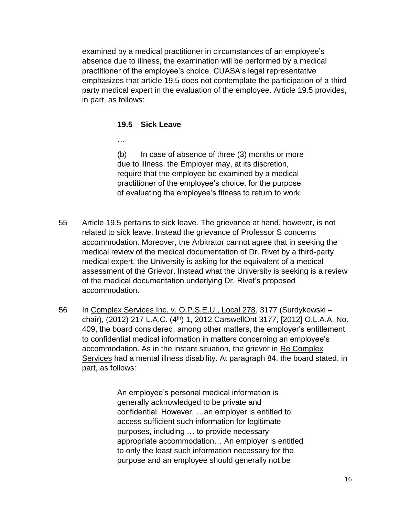examined by a medical practitioner in circumstances of an employee's absence due to illness, the examination will be performed by a medical practitioner of the employee's choice. CUASA's legal representative emphasizes that article 19.5 does not contemplate the participation of a thirdparty medical expert in the evaluation of the employee. Article 19.5 provides, in part, as follows:

#### **19.5 Sick Leave**

…

(b) In case of absence of three (3) months or more due to illness, the Employer may, at its discretion, require that the employee be examined by a medical practitioner of the employee's choice, for the purpose of evaluating the employee's fitness to return to work.

- 55 Article 19.5 pertains to sick leave. The grievance at hand, however, is not related to sick leave. Instead the grievance of Professor S concerns accommodation. Moreover, the Arbitrator cannot agree that in seeking the medical review of the medical documentation of Dr. Rivet by a third-party medical expert, the University is asking for the equivalent of a medical assessment of the Grievor. Instead what the University is seeking is a review of the medical documentation underlying Dr. Rivet's proposed accommodation.
- 56 In Complex Services Inc. v. O.P.S.E.U., Local 278, 3177 (Surdykowski chair), (2012) 217 L.A.C. (4<sup>th</sup>) 1, 2012 CarswellOnt 3177, [2012] O.L.A.A. No. 409, the board considered, among other matters, the employer's entitlement to confidential medical information in matters concerning an employee's accommodation. As in the instant situation, the grievor in Re Complex Services had a mental illness disability. At paragraph 84, the board stated, in part, as follows:

An employee's personal medical information is generally acknowledged to be private and confidential. However, …an employer is entitled to access sufficient such information for legitimate purposes, including … to provide necessary appropriate accommodation… An employer is entitled to only the least such information necessary for the purpose and an employee should generally not be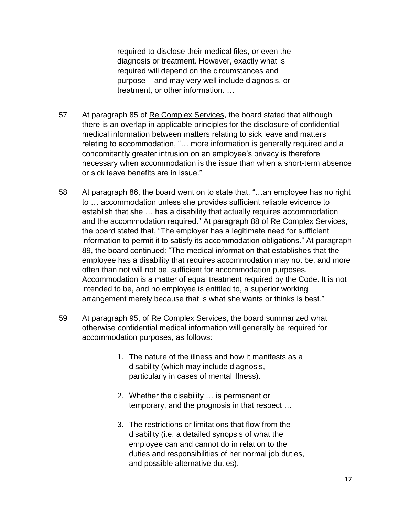required to disclose their medical files, or even the diagnosis or treatment. However, exactly what is required will depend on the circumstances and purpose – and may very well include diagnosis, or treatment, or other information. …

- 57 At paragraph 85 of Re Complex Services, the board stated that although there is an overlap in applicable principles for the disclosure of confidential medical information between matters relating to sick leave and matters relating to accommodation, "… more information is generally required and a concomitantly greater intrusion on an employee's privacy is therefore necessary when accommodation is the issue than when a short-term absence or sick leave benefits are in issue."
- 58 At paragraph 86, the board went on to state that, "…an employee has no right to … accommodation unless she provides sufficient reliable evidence to establish that she … has a disability that actually requires accommodation and the accommodation required." At paragraph 88 of Re Complex Services, the board stated that, "The employer has a legitimate need for sufficient information to permit it to satisfy its accommodation obligations." At paragraph 89, the board continued: "The medical information that establishes that the employee has a disability that requires accommodation may not be, and more often than not will not be, sufficient for accommodation purposes. Accommodation is a matter of equal treatment required by the Code. It is not intended to be, and no employee is entitled to, a superior working arrangement merely because that is what she wants or thinks is best."
- 59 At paragraph 95, of Re Complex Services, the board summarized what otherwise confidential medical information will generally be required for accommodation purposes, as follows:
	- 1. The nature of the illness and how it manifests as a disability (which may include diagnosis, particularly in cases of mental illness).
	- 2. Whether the disability … is permanent or temporary, and the prognosis in that respect …
	- 3. The restrictions or limitations that flow from the disability (i.e. a detailed synopsis of what the employee can and cannot do in relation to the duties and responsibilities of her normal job duties, and possible alternative duties).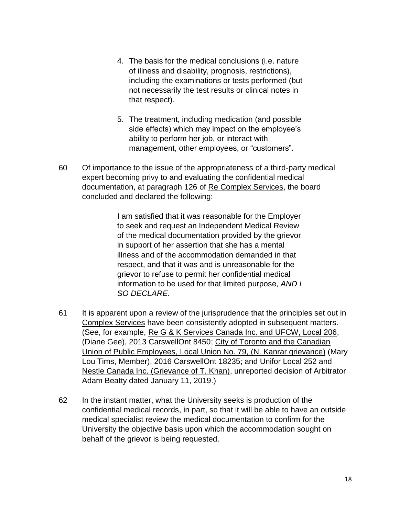- 4. The basis for the medical conclusions (i.e. nature of illness and disability, prognosis, restrictions), including the examinations or tests performed (but not necessarily the test results or clinical notes in that respect).
- 5. The treatment, including medication (and possible side effects) which may impact on the employee's ability to perform her job, or interact with management, other employees, or "customers".
- 60 Of importance to the issue of the appropriateness of a third-party medical expert becoming privy to and evaluating the confidential medical documentation, at paragraph 126 of Re Complex Services, the board concluded and declared the following:

I am satisfied that it was reasonable for the Employer to seek and request an Independent Medical Review of the medical documentation provided by the grievor in support of her assertion that she has a mental illness and of the accommodation demanded in that respect, and that it was and is unreasonable for the grievor to refuse to permit her confidential medical information to be used for that limited purpose, *AND I SO DECLARE.*

- 61 It is apparent upon a review of the jurisprudence that the principles set out in Complex Services have been consistently adopted in subsequent matters. (See, for example, Re G & K Services Canada Inc. and UFCW, Local 206, (Diane Gee), 2013 CarswellOnt 8450; City of Toronto and the Canadian Union of Public Employees, Local Union No. 79, (N. Kanrar grievance) (Mary Lou Tims, Member), 2016 CarswellOnt 18235; and Unifor Local 252 and Nestle Canada Inc. (Grievance of T. Khan), unreported decision of Arbitrator Adam Beatty dated January 11, 2019.)
- 62 In the instant matter, what the University seeks is production of the confidential medical records, in part, so that it will be able to have an outside medical specialist review the medical documentation to confirm for the University the objective basis upon which the accommodation sought on behalf of the grievor is being requested.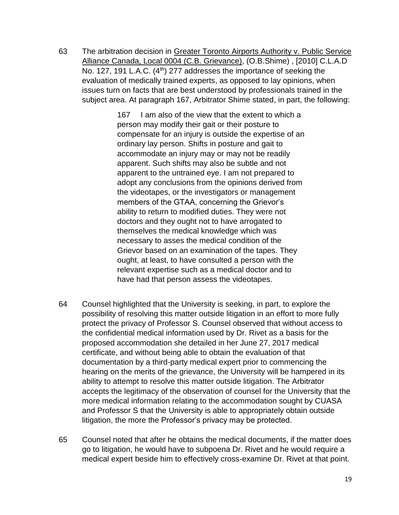63 The arbitration decision in Greater Toronto Airports Authority v. Public Service Alliance Canada, Local 0004 (C.B. Grievance), (O.B.Shime) , [2010] C.L.A.D No. 127, 191 L.A.C. (4<sup>th</sup>) 277 addresses the importance of seeking the evaluation of medically trained experts, as opposed to lay opinions, when issues turn on facts that are best understood by professionals trained in the subject area. At paragraph 167, Arbitrator Shime stated, in part, the following:

> 167 I am also of the view that the extent to which a person may modify their gait or their posture to compensate for an injury is outside the expertise of an ordinary lay person. Shifts in posture and gait to accommodate an injury may or may not be readily apparent. Such shifts may also be subtle and not apparent to the untrained eye. I am not prepared to adopt any conclusions from the opinions derived from the videotapes, or the investigators or management members of the GTAA, concerning the Grievor's ability to return to modified duties. They were not doctors and they ought not to have arrogated to themselves the medical knowledge which was necessary to asses the medical condition of the Grievor based on an examination of the tapes. They ought, at least, to have consulted a person with the relevant expertise such as a medical doctor and to have had that person assess the videotapes.

- 64 Counsel highlighted that the University is seeking, in part, to explore the possibility of resolving this matter outside litigation in an effort to more fully protect the privacy of Professor S. Counsel observed that without access to the confidential medical information used by Dr. Rivet as a basis for the proposed accommodation she detailed in her June 27, 2017 medical certificate, and without being able to obtain the evaluation of that documentation by a third-party medical expert prior to commencing the hearing on the merits of the grievance, the University will be hampered in its ability to attempt to resolve this matter outside litigation. The Arbitrator accepts the legitimacy of the observation of counsel for the University that the more medical information relating to the accommodation sought by CUASA and Professor S that the University is able to appropriately obtain outside litigation, the more the Professor's privacy may be protected.
- 65 Counsel noted that after he obtains the medical documents, if the matter does go to litigation, he would have to subpoena Dr. Rivet and he would require a medical expert beside him to effectively cross-examine Dr. Rivet at that point.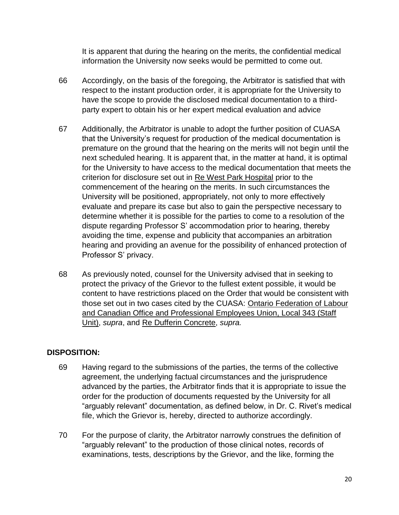It is apparent that during the hearing on the merits, the confidential medical information the University now seeks would be permitted to come out.

- 66 Accordingly, on the basis of the foregoing, the Arbitrator is satisfied that with respect to the instant production order, it is appropriate for the University to have the scope to provide the disclosed medical documentation to a thirdparty expert to obtain his or her expert medical evaluation and advice
- 67 Additionally, the Arbitrator is unable to adopt the further position of CUASA that the University's request for production of the medical documentation is premature on the ground that the hearing on the merits will not begin until the next scheduled hearing. It is apparent that, in the matter at hand, it is optimal for the University to have access to the medical documentation that meets the criterion for disclosure set out in Re West Park Hospital prior to the commencement of the hearing on the merits. In such circumstances the University will be positioned, appropriately, not only to more effectively evaluate and prepare its case but also to gain the perspective necessary to determine whether it is possible for the parties to come to a resolution of the dispute regarding Professor S' accommodation prior to hearing, thereby avoiding the time, expense and publicity that accompanies an arbitration hearing and providing an avenue for the possibility of enhanced protection of Professor S' privacy.
- 68 As previously noted, counsel for the University advised that in seeking to protect the privacy of the Grievor to the fullest extent possible, it would be content to have restrictions placed on the Order that would be consistent with those set out in two cases cited by the CUASA: Ontario Federation of Labour and Canadian Office and Professional Employees Union, Local 343 (Staff Unit), *supra*, and Re Dufferin Concrete, *supra.*

# **DISPOSITION:**

- 69 Having regard to the submissions of the parties, the terms of the collective agreement, the underlying factual circumstances and the jurisprudence advanced by the parties, the Arbitrator finds that it is appropriate to issue the order for the production of documents requested by the University for all "arguably relevant" documentation, as defined below, in Dr. C. Rivet's medical file, which the Grievor is, hereby, directed to authorize accordingly.
- 70 For the purpose of clarity, the Arbitrator narrowly construes the definition of "arguably relevant" to the production of those clinical notes, records of examinations, tests, descriptions by the Grievor, and the like, forming the